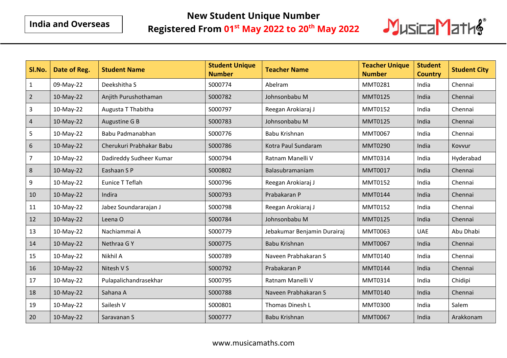## **New Student Unique Number**

## **Registered From 01st May 2022 to 20th May 2022**



| SI.No.         | Date of Reg. | <b>Student Name</b>      | <b>Student Unique</b><br><b>Number</b> | <b>Teacher Name</b>         | <b>Teacher Unique</b><br><b>Number</b> | <b>Student</b><br><b>Country</b> | <b>Student City</b> |
|----------------|--------------|--------------------------|----------------------------------------|-----------------------------|----------------------------------------|----------------------------------|---------------------|
| $\mathbf 1$    | 09-May-22    | Deekshitha S             | S000774                                | Abelram                     | MMT0281                                | India                            | Chennai             |
| $\overline{2}$ | 10-May-22    | Anjith Purushothaman     | S000782                                | Johnsonbabu M               | <b>MMT0125</b>                         | India                            | Chennai             |
| $\overline{3}$ | 10-May-22    | Augusta T Thabitha       | S000797                                | Reegan Arokiaraj J          | MMT0152                                | India                            | Chennai             |
| $\overline{4}$ | 10-May-22    | Augustine G B            | S000783                                | Johnsonbabu M               | <b>MMT0125</b>                         | India                            | Chennai             |
| 5              | 10-May-22    | Babu Padmanabhan         | S000776                                | Babu Krishnan               | <b>MMT0067</b>                         | India                            | Chennai             |
| $\sqrt{6}$     | 10-May-22    | Cherukuri Prabhakar Babu | S000786                                | Kotra Paul Sundaram         | <b>MMT0290</b>                         | India                            | Kovvur              |
| $\overline{7}$ | 10-May-22    | Dadireddy Sudheer Kumar  | S000794                                | Ratnam Manelli V            | MMT0314                                | India                            | Hyderabad           |
| 8              | 10-May-22    | Eashaan S P              | S000802                                | Balasubramaniam             | <b>MMT0017</b>                         | India                            | Chennai             |
| 9              | 10-May-22    | Eunice T Teflah          | S000796                                | Reegan Arokiaraj J          | MMT0152                                | India                            | Chennai             |
| 10             | 10-May-22    | Indira                   | S000793                                | Prabakaran P                | <b>MMT0144</b>                         | India                            | Chennai             |
| 11             | 10-May-22    | Jabez Soundararajan J    | S000798                                | Reegan Arokiaraj J          | MMT0152                                | India                            | Chennai             |
| 12             | 10-May-22    | Leena O                  | S000784                                | Johnsonbabu M               | <b>MMT0125</b>                         | India                            | Chennai             |
| 13             | 10-May-22    | Nachiammai A             | S000779                                | Jebakumar Benjamin Durairaj | MMT0063                                | <b>UAE</b>                       | Abu Dhabi           |
| 14             | 10-May-22    | Nethraa GY               | S000775                                | Babu Krishnan               | <b>MMT0067</b>                         | India                            | Chennai             |
| 15             | 10-May-22    | Nikhil A                 | S000789                                | Naveen Prabhakaran S        | MMT0140                                | India                            | Chennai             |
| 16             | 10-May-22    | Nitesh V S               | S000792                                | Prabakaran P                | <b>MMT0144</b>                         | India                            | Chennai             |
| $17\,$         | 10-May-22    | Pulapalichandrasekhar    | S000795                                | Ratnam Manelli V            | MMT0314                                | India                            | Chidipi             |
| 18             | 10-May-22    | Sahana A                 | S000788                                | Naveen Prabhakaran S        | <b>MMT0140</b>                         | India                            | Chennai             |
| 19             | 10-May-22    | Sailesh V                | S000801                                | Thomas Dinesh L             | MMT0300                                | India                            | Salem               |
| 20             | 10-May-22    | Saravanan S              | S000777                                | <b>Babu Krishnan</b>        | <b>MMT0067</b>                         | India                            | Arakkonam           |